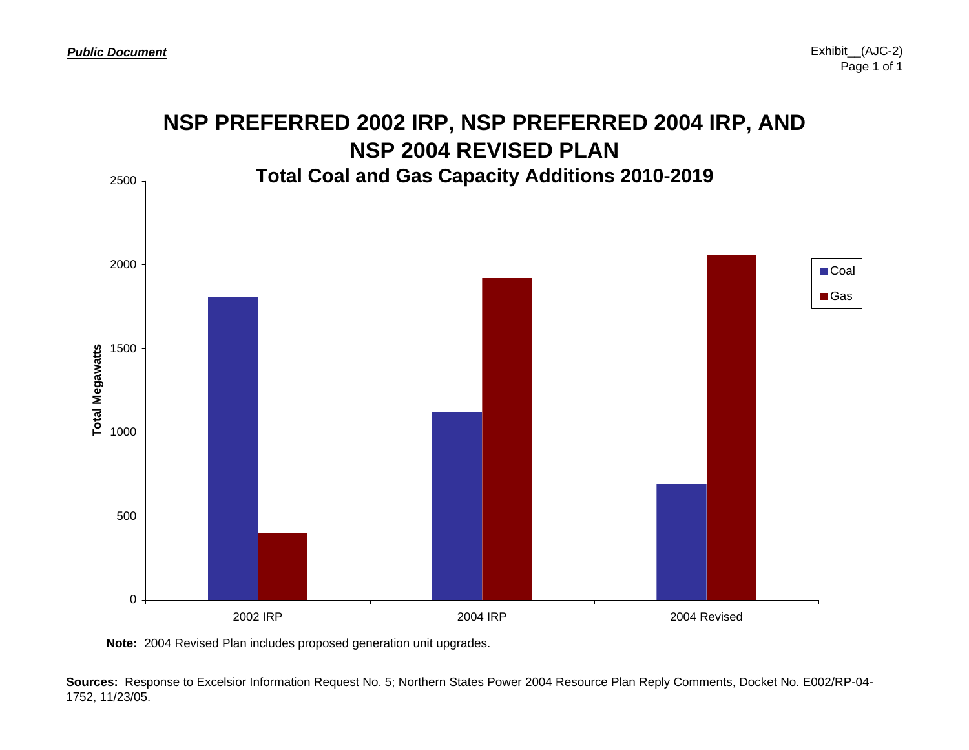

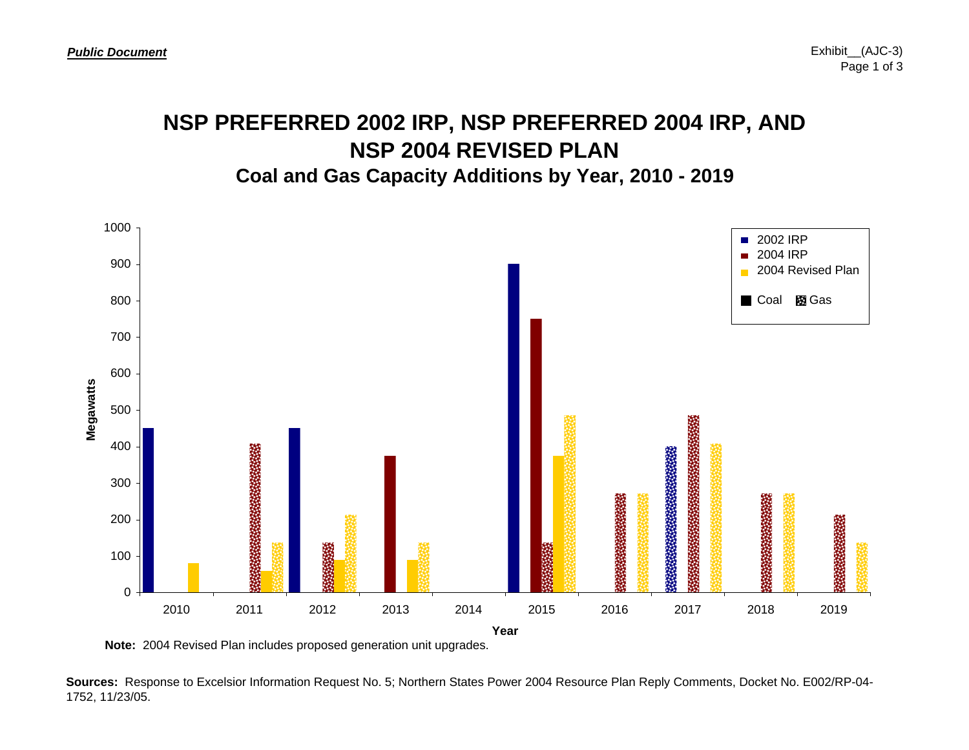### **NSP PREFERRED 2002 IRP, NSP PREFERRED 2004 IRP, AND NSP 2004 REVISED PLANCoal and Gas Capacity Additions by Year, 2010 - 2019**



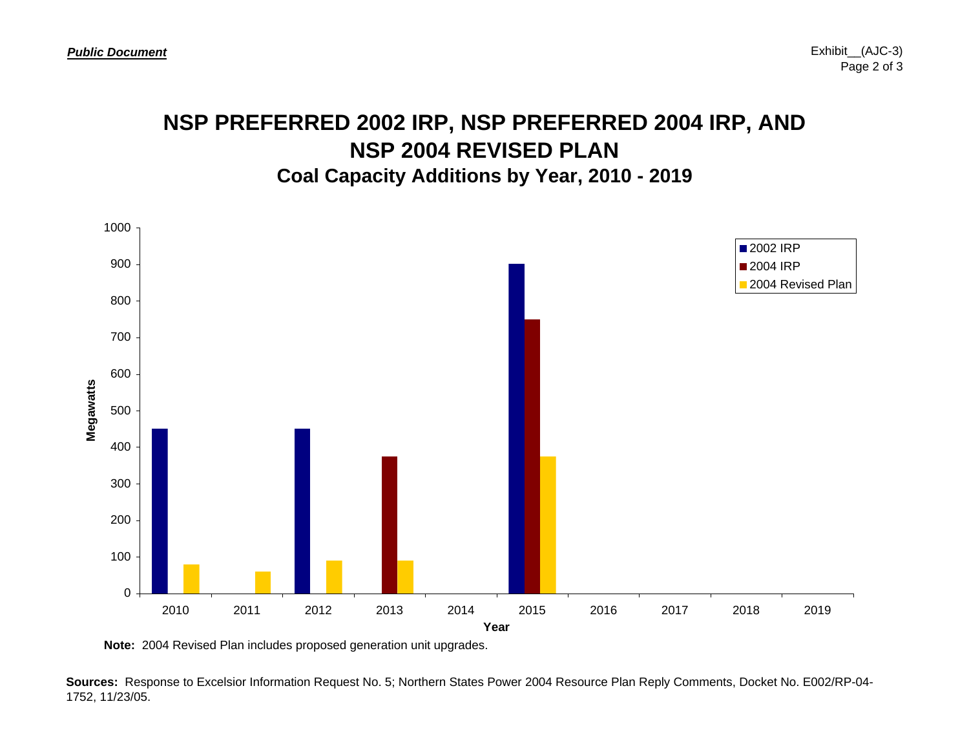### **NSP PREFERRED 2002 IRP, NSP PREFERRED 2004 IRP, AND NSP 2004 REVISED PLANCoal Capacity Additions by Year, 2010 - 2019**



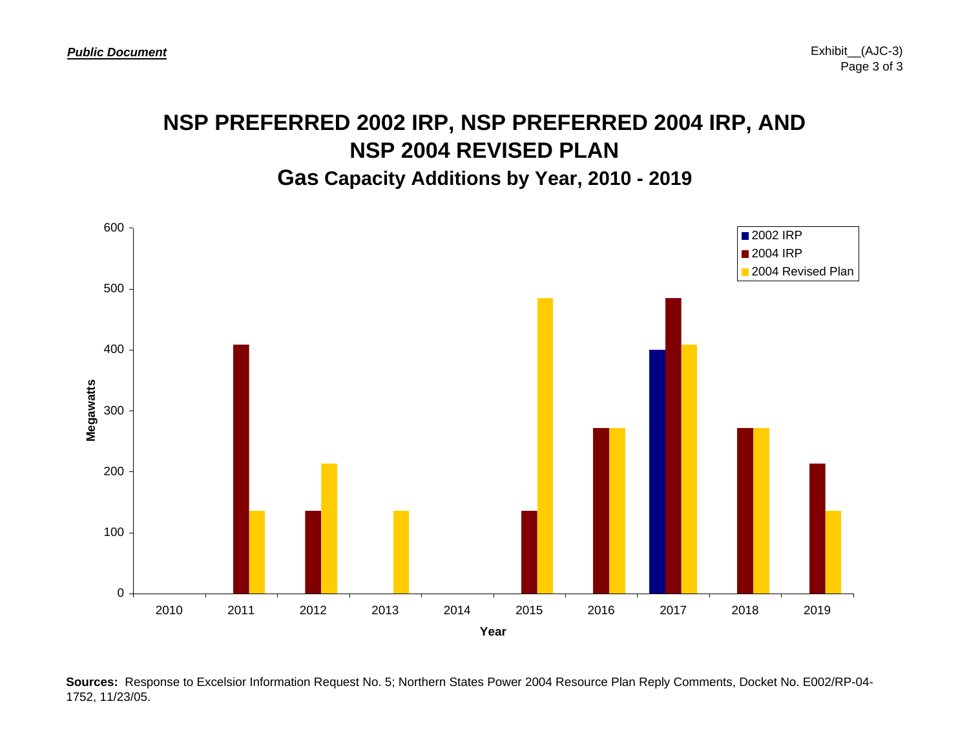# **NSP PREFERRED 2002 IRP, NSP PREFERRED 2004 IRP, AND NSP 2004 REVISED PLAN**

#### **Gas Capacity Additions by Year, 2010 - 2019**

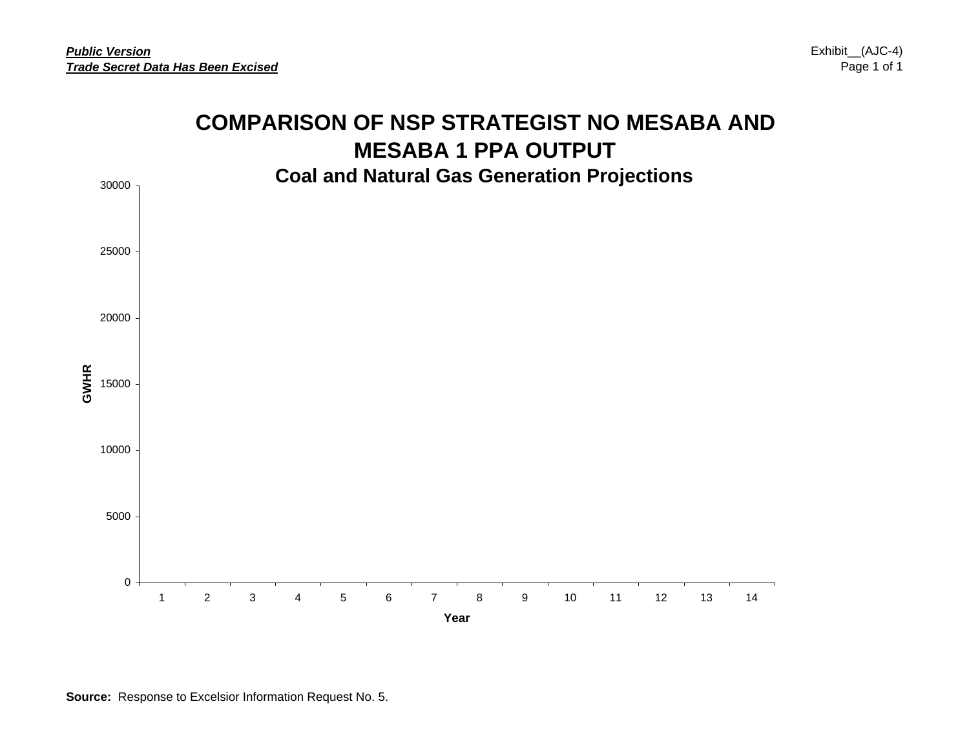Exhibit\_\_(AJC-4) Page 1 of 1

### **COMPARISON OF NSP STRATEGIST NO MESABA AND MESABA 1 PPA OUTPUT Coal and Natural Gas Generation Projections**

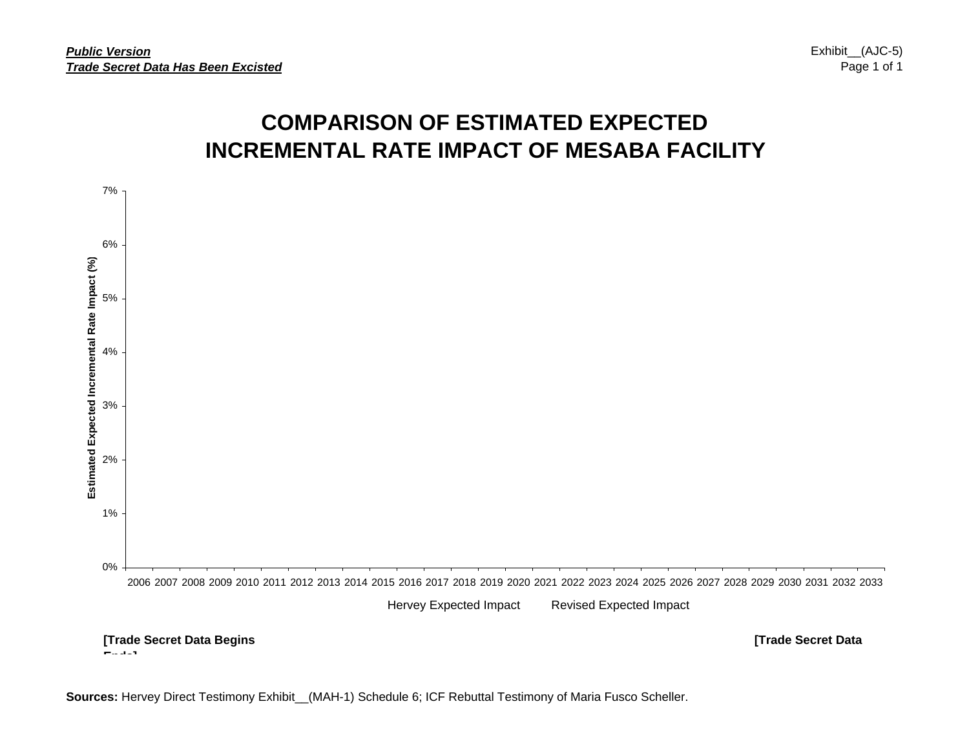## **COMPARISON OF ESTIMATED EXPECTED INCREMENTAL RATE IMPACT OF MESABA FACILITY**



**Sources:** Hervey Direct Testimony Exhibit\_\_(MAH-1) Schedule 6; ICF Rebuttal Testimony of Maria Fusco Scheller.